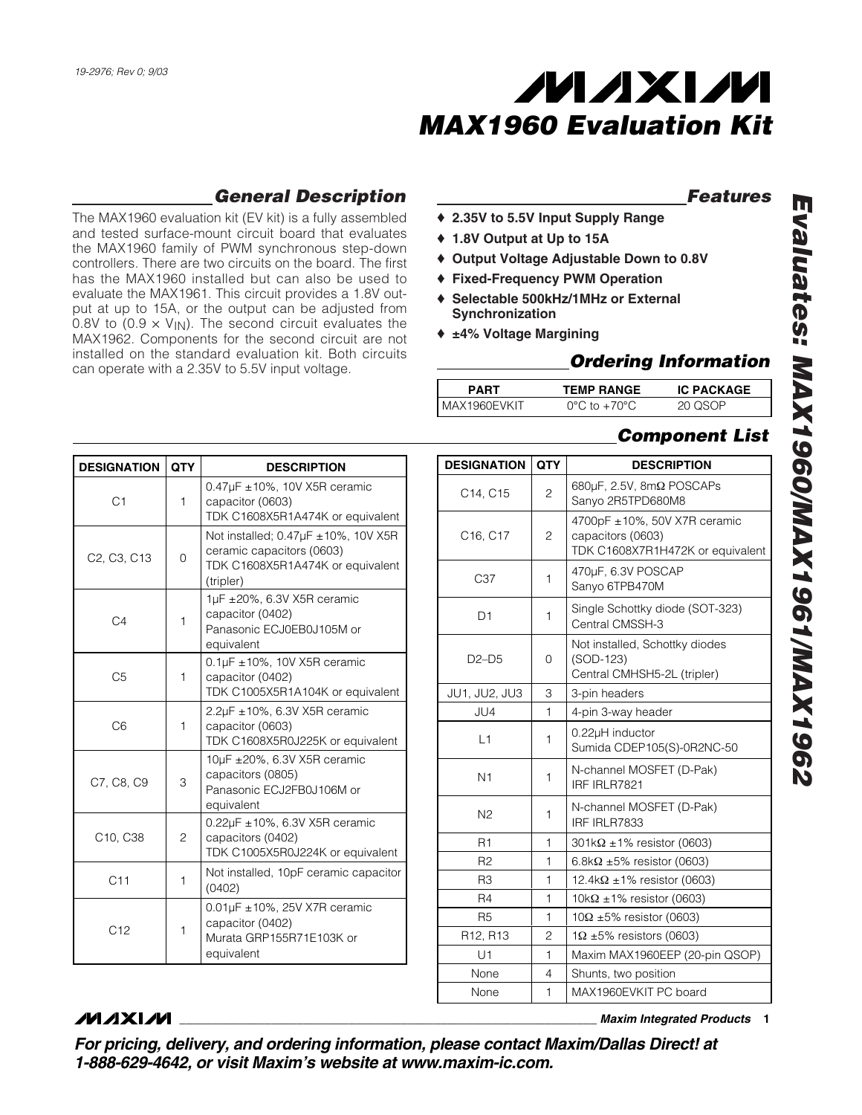

### *Features*

- ♦ **2.35V to 5.5V Input Supply Range**
	- ♦ **1.8V Output at Up to 15A**
	- ♦ **Output Voltage Adjustable Down to 0.8V**
	- ♦ **Fixed-Frequency PWM Operation**
	- ♦ **Selectable 500kHz/1MHz or External Synchronization**
	- ♦ **±4% Voltage Margining**

## *Ordering Information*

| <b>PART</b>    | <b>TEMP RANGE</b>                | <b>IC PACKAGE</b> |
|----------------|----------------------------------|-------------------|
| I MAX1960EVKIT | $0^{\circ}$ C to $+70^{\circ}$ C | 20 USUP           |

## *Component List*

| <b>DESIGNATION</b>                                | <b>QTY</b> | <b>DESCRIPTION</b>                                                                                                          |
|---------------------------------------------------|------------|-----------------------------------------------------------------------------------------------------------------------------|
| C <sub>1</sub>                                    | 1          | $0.47 \mu$ F ± 10%, 10V X5R ceramic<br>capacitor (0603)<br>TDK C1608X5R1A474K or equivalent                                 |
| C <sub>2</sub> , C <sub>3</sub> , C <sub>13</sub> | $\Omega$   | Not installed; $0.47\mu F \pm 10\%$ , 10V X5R<br>ceramic capacitors (0603)<br>TDK C1608X5R1A474K or equivalent<br>(tripler) |
| C <sub>4</sub>                                    | 1          | 1µF ±20%, 6.3V X5R ceramic<br>capacitor (0402)<br>Panasonic ECJ0EB0J105M or<br>equivalent                                   |
| C <sub>5</sub>                                    | 1          | $0.1 \mu$ F ± 10%, 10V X5R ceramic<br>capacitor (0402)<br>TDK C1005X5R1A104K or equivalent                                  |
| C6                                                | 1          | 2.2µF ±10%, 6.3V X5R ceramic<br>capacitor (0603)<br>TDK C1608X5R0J225K or equivalent                                        |
| C7, C8, C9                                        | 3          | 10µF ±20%, 6.3V X5R ceramic<br>capacitors (0805)<br>Panasonic ECJ2FB0J106M or<br>equivalent                                 |
| C10, C38                                          | 2          | $0.22\mu$ F ±10%, 6.3V X5R ceramic<br>capacitors (0402)<br>TDK C1005X5R0J224K or equivalent                                 |
| C11                                               | 1          | Not installed, 10pF ceramic capacitor<br>(0402)                                                                             |
| C12                                               | 1          | $0.01 \mu$ F ± 10%, 25V X7R ceramic<br>capacitor (0402)<br>Murata GRP155R71E103K or<br>equivalent                           |

*General Description*

The MAX1960 evaluation kit (EV kit) is a fully assembled and tested surface-mount circuit board that evaluates the MAX1960 family of PWM synchronous step-down controllers. There are two circuits on the board. The first has the MAX1960 installed but can also be used to evaluate the MAX1961. This circuit provides a 1.8V output at up to 15A, or the output can be adjusted from 0.8V to (0.9  $\times$  V<sub>IN</sub>). The second circuit evaluates the MAX1962. Components for the second circuit are not installed on the standard evaluation kit. Both circuits

can operate with a 2.35V to 5.5V input voltage.

| <b>QTY</b><br><b>DESIGNATION</b><br><b>DESCRIPTION</b><br>680 $\mu$ F, 2.5V, 8m $\Omega$ POSCAPs<br>$\overline{c}$<br>C <sub>14</sub> , C <sub>15</sub><br>Sanyo 2R5TPD680M8<br>4700pF ±10%, 50V X7R ceramic<br>capacitors (0603)<br>C <sub>16</sub> , C <sub>17</sub><br>2<br>TDK C1608X7R1H472K or equivalent<br>470µF, 6.3V POSCAP<br>C <sub>37</sub><br>1<br>Sanyo 6TPB470M<br>Single Schottky diode (SOT-323)<br>1<br>D1<br>Central CMSSH-3<br>Not installed, Schottky diodes<br>(SOD-123)<br>$D2-D5$<br>0<br>Central CMHSH5-2L (tripler)<br>3<br>JU1, JU2, JU3<br>3-pin headers<br>JU4<br>1<br>4-pin 3-way header<br>0.22µH inductor<br>$\vert$ 1<br>1<br>Sumida CDEP105(S)-0R2NC-50<br>N-channel MOSFET (D-Pak)<br>N <sub>1</sub><br>1<br>IRF IRLR7821<br>N-channel MOSFET (D-Pak)<br>N2<br>1<br>IRF IRLR7833<br>R1<br>1<br>$301k\Omega \pm 1\%$ resistor (0603)<br>R <sub>2</sub><br>1<br>6.8k $\Omega$ ±5% resistor (0603)<br>R3<br>1<br>12.4k $\Omega$ ±1% resistor (0603)<br>R <sub>4</sub><br>1<br>$10k\Omega \pm 1\%$ resistor (0603)<br><b>R5</b><br>1<br>$10\Omega \pm 5\%$ resistor (0603)<br>R12, R13<br>2<br>$1\Omega$ ±5% resistors (0603)<br>Maxim MAX1960EEP (20-pin QSOP)<br>U1<br>1<br>None<br>4<br>Shunts, two position<br>MAX1960EVKIT PC board<br>None<br>1 |  |  |
|---------------------------------------------------------------------------------------------------------------------------------------------------------------------------------------------------------------------------------------------------------------------------------------------------------------------------------------------------------------------------------------------------------------------------------------------------------------------------------------------------------------------------------------------------------------------------------------------------------------------------------------------------------------------------------------------------------------------------------------------------------------------------------------------------------------------------------------------------------------------------------------------------------------------------------------------------------------------------------------------------------------------------------------------------------------------------------------------------------------------------------------------------------------------------------------------------------------------------------------------------------------------------------------|--|--|
|                                                                                                                                                                                                                                                                                                                                                                                                                                                                                                                                                                                                                                                                                                                                                                                                                                                                                                                                                                                                                                                                                                                                                                                                                                                                                       |  |  |
|                                                                                                                                                                                                                                                                                                                                                                                                                                                                                                                                                                                                                                                                                                                                                                                                                                                                                                                                                                                                                                                                                                                                                                                                                                                                                       |  |  |
|                                                                                                                                                                                                                                                                                                                                                                                                                                                                                                                                                                                                                                                                                                                                                                                                                                                                                                                                                                                                                                                                                                                                                                                                                                                                                       |  |  |
|                                                                                                                                                                                                                                                                                                                                                                                                                                                                                                                                                                                                                                                                                                                                                                                                                                                                                                                                                                                                                                                                                                                                                                                                                                                                                       |  |  |
|                                                                                                                                                                                                                                                                                                                                                                                                                                                                                                                                                                                                                                                                                                                                                                                                                                                                                                                                                                                                                                                                                                                                                                                                                                                                                       |  |  |
|                                                                                                                                                                                                                                                                                                                                                                                                                                                                                                                                                                                                                                                                                                                                                                                                                                                                                                                                                                                                                                                                                                                                                                                                                                                                                       |  |  |
|                                                                                                                                                                                                                                                                                                                                                                                                                                                                                                                                                                                                                                                                                                                                                                                                                                                                                                                                                                                                                                                                                                                                                                                                                                                                                       |  |  |
|                                                                                                                                                                                                                                                                                                                                                                                                                                                                                                                                                                                                                                                                                                                                                                                                                                                                                                                                                                                                                                                                                                                                                                                                                                                                                       |  |  |
|                                                                                                                                                                                                                                                                                                                                                                                                                                                                                                                                                                                                                                                                                                                                                                                                                                                                                                                                                                                                                                                                                                                                                                                                                                                                                       |  |  |
|                                                                                                                                                                                                                                                                                                                                                                                                                                                                                                                                                                                                                                                                                                                                                                                                                                                                                                                                                                                                                                                                                                                                                                                                                                                                                       |  |  |
|                                                                                                                                                                                                                                                                                                                                                                                                                                                                                                                                                                                                                                                                                                                                                                                                                                                                                                                                                                                                                                                                                                                                                                                                                                                                                       |  |  |
|                                                                                                                                                                                                                                                                                                                                                                                                                                                                                                                                                                                                                                                                                                                                                                                                                                                                                                                                                                                                                                                                                                                                                                                                                                                                                       |  |  |
|                                                                                                                                                                                                                                                                                                                                                                                                                                                                                                                                                                                                                                                                                                                                                                                                                                                                                                                                                                                                                                                                                                                                                                                                                                                                                       |  |  |
|                                                                                                                                                                                                                                                                                                                                                                                                                                                                                                                                                                                                                                                                                                                                                                                                                                                                                                                                                                                                                                                                                                                                                                                                                                                                                       |  |  |
|                                                                                                                                                                                                                                                                                                                                                                                                                                                                                                                                                                                                                                                                                                                                                                                                                                                                                                                                                                                                                                                                                                                                                                                                                                                                                       |  |  |
|                                                                                                                                                                                                                                                                                                                                                                                                                                                                                                                                                                                                                                                                                                                                                                                                                                                                                                                                                                                                                                                                                                                                                                                                                                                                                       |  |  |
|                                                                                                                                                                                                                                                                                                                                                                                                                                                                                                                                                                                                                                                                                                                                                                                                                                                                                                                                                                                                                                                                                                                                                                                                                                                                                       |  |  |
|                                                                                                                                                                                                                                                                                                                                                                                                                                                                                                                                                                                                                                                                                                                                                                                                                                                                                                                                                                                                                                                                                                                                                                                                                                                                                       |  |  |
|                                                                                                                                                                                                                                                                                                                                                                                                                                                                                                                                                                                                                                                                                                                                                                                                                                                                                                                                                                                                                                                                                                                                                                                                                                                                                       |  |  |
|                                                                                                                                                                                                                                                                                                                                                                                                                                                                                                                                                                                                                                                                                                                                                                                                                                                                                                                                                                                                                                                                                                                                                                                                                                                                                       |  |  |

# **MAXIM**

**\_\_\_\_\_\_\_\_\_\_\_\_\_\_\_\_\_\_\_\_\_\_\_\_\_\_\_\_\_\_\_\_\_\_\_\_\_\_\_\_\_\_\_\_\_\_\_\_\_\_\_\_\_\_\_\_\_\_\_\_\_\_\_\_** *Maxim Integrated Products* **1**

*For pricing, delivery, and ordering information, please contact Maxim/Dallas Direct! at 1-888-629-4642, or visit Maxim's website at www.maxim-ic.com.*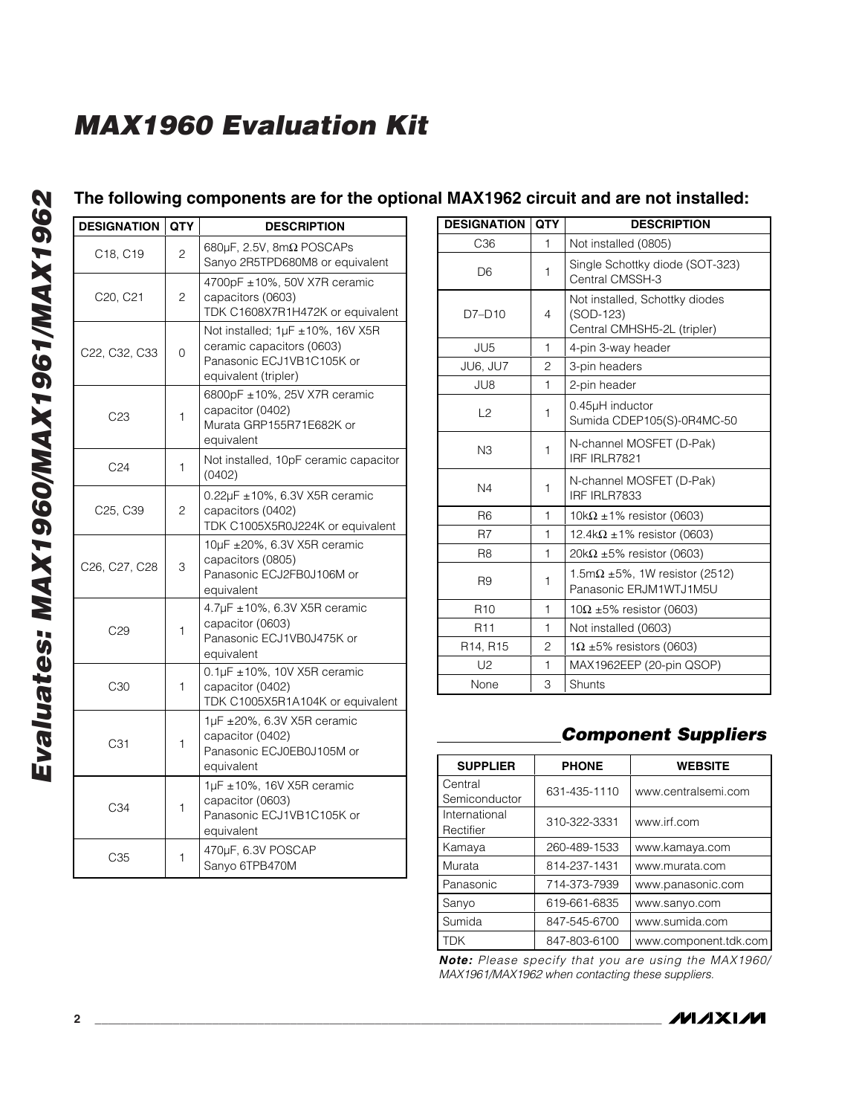# **The following components are for the optional MAX1962 circuit and are not installed:**

| <b>DESIGNATION</b>                                  | <b>QTY</b>     | <b>DESCRIPTION</b>                                                                                                 |
|-----------------------------------------------------|----------------|--------------------------------------------------------------------------------------------------------------------|
| C18, C19                                            | $\overline{c}$ | 680 $\mu$ F, 2.5V, 8m $\Omega$ POSCAPs<br>Sanyo 2R5TPD680M8 or equivalent                                          |
| C20, C21                                            | 2              | 4700pF ±10%, 50V X7R ceramic<br>capacitors (0603)<br>TDK C1608X7R1H472K or equivalent                              |
| C <sub>22</sub> , C <sub>32</sub> , C <sub>33</sub> | $\Omega$       | Not installed; 1µF ±10%, 16V X5R<br>ceramic capacitors (0603)<br>Panasonic ECJ1VB1C105K or<br>equivalent (tripler) |
| C <sub>23</sub>                                     | 1              | 6800pF ±10%, 25V X7R ceramic<br>capacitor (0402)<br>Murata GRP155R71E682K or<br>equivalent                         |
| C <sub>24</sub>                                     | 1              | Not installed, 10pF ceramic capacitor<br>(0402)                                                                    |
| C25, C39                                            | 2              | 0.22µF ±10%, 6.3V X5R ceramic<br>capacitors (0402)<br>TDK C1005X5R0J224K or equivalent                             |
| C26, C27, C28                                       | 3              | 10µF ±20%, 6.3V X5R ceramic<br>capacitors (0805)<br>Panasonic ECJ2FB0J106M or<br>equivalent                        |
| C29                                                 | 1              | 4.7µF ±10%, 6.3V X5R ceramic<br>capacitor (0603)<br>Panasonic ECJ1VB0J475K or<br>equivalent                        |
| C <sub>30</sub>                                     | 1              | 0.1µF ±10%, 10V X5R ceramic<br>capacitor (0402)<br>TDK C1005X5R1A104K or equivalent                                |
| C31                                                 | 1              | $1\mu$ F $\pm$ 20%, 6.3V X5R ceramic<br>capacitor (0402)<br>Panasonic ECJ0EB0J105M or<br>equivalent                |
| C34                                                 | 1              | 1µF ±10%, 16V X5R ceramic<br>capacitor (0603)<br>Panasonic ECJ1VB1C105K or<br>equivalent                           |
| C <sub>35</sub>                                     | 1              | 470µF, 6.3V POSCAP<br>Sanyo 6TPB470M                                                                               |

| <b>DESIGNATION</b> | <b>QTY</b> | <b>DESCRIPTION</b>                                                         |
|--------------------|------------|----------------------------------------------------------------------------|
| C36                | 1          | Not installed (0805)                                                       |
| D <sub>6</sub>     | 1          | Single Schottky diode (SOT-323)<br>Central CMSSH-3                         |
| $D7-D10$           | 4          | Not installed, Schottky diodes<br>(SOD-123)<br>Central CMHSH5-2L (tripler) |
| JU5                | 1          | 4-pin 3-way header                                                         |
| JU6, JU7           | 2          | 3-pin headers                                                              |
| JU8                | 1          | 2-pin header                                                               |
| L2                 | 1          | 0.45µH inductor<br>Sumida CDEP105(S)-0R4MC-50                              |
| N3                 | 1          | N-channel MOSFET (D-Pak)<br>IRF IRLR7821                                   |
| N <sub>4</sub>     | 1          | N-channel MOSFET (D-Pak)<br>IRF IRLR7833                                   |
| R <sub>6</sub>     | 1          | 10k $\Omega$ ±1% resistor (0603)                                           |
| R <sub>7</sub>     | 1          | 12.4k $\Omega$ ±1% resistor (0603)                                         |
| R <sub>8</sub>     | 1          | 20k $\Omega$ ±5% resistor (0603)                                           |
| R <sub>9</sub>     | 1          | 1.5m $\Omega$ ±5%, 1W resistor (2512)<br>Panasonic ERJM1WTJ1M5U            |
| R <sub>10</sub>    | 1          | $10\Omega \pm 5\%$ resistor (0603)                                         |
| R <sub>11</sub>    | 1          | Not installed (0603)                                                       |
| R14, R15           | 2          | $1\Omega$ ±5% resistors (0603)                                             |
| U <sub>2</sub>     | 1          | MAX1962EEP (20-pin QSOP)                                                   |
| None               | 3          | Shunts                                                                     |

# *Component Suppliers*

| <b>SUPPLIER</b>                 | <b>PHONE</b> | <b>WEBSITE</b>        |
|---------------------------------|--------------|-----------------------|
| <b>Central</b><br>Semiconductor | 631-435-1110 | www.centralsemi.com   |
| International<br>Rectifier      | 310-322-3331 | www.irf.com           |
| Kamaya                          | 260-489-1533 | www.kamaya.com        |
| Murata                          | 814-237-1431 | www.murata.com        |
| Panasonic                       | 714-373-7939 | www.panasonic.com     |
| Sanyo                           | 619-661-6835 | www.sanyo.com         |
| Sumida                          | 847-545-6700 | www.sumida.com        |
| TDK                             | 847-803-6100 | www.component.tdk.com |

*Note: Please specify that you are using the MAX1960/ MAX1961/MAX1962 when contacting these suppliers.*

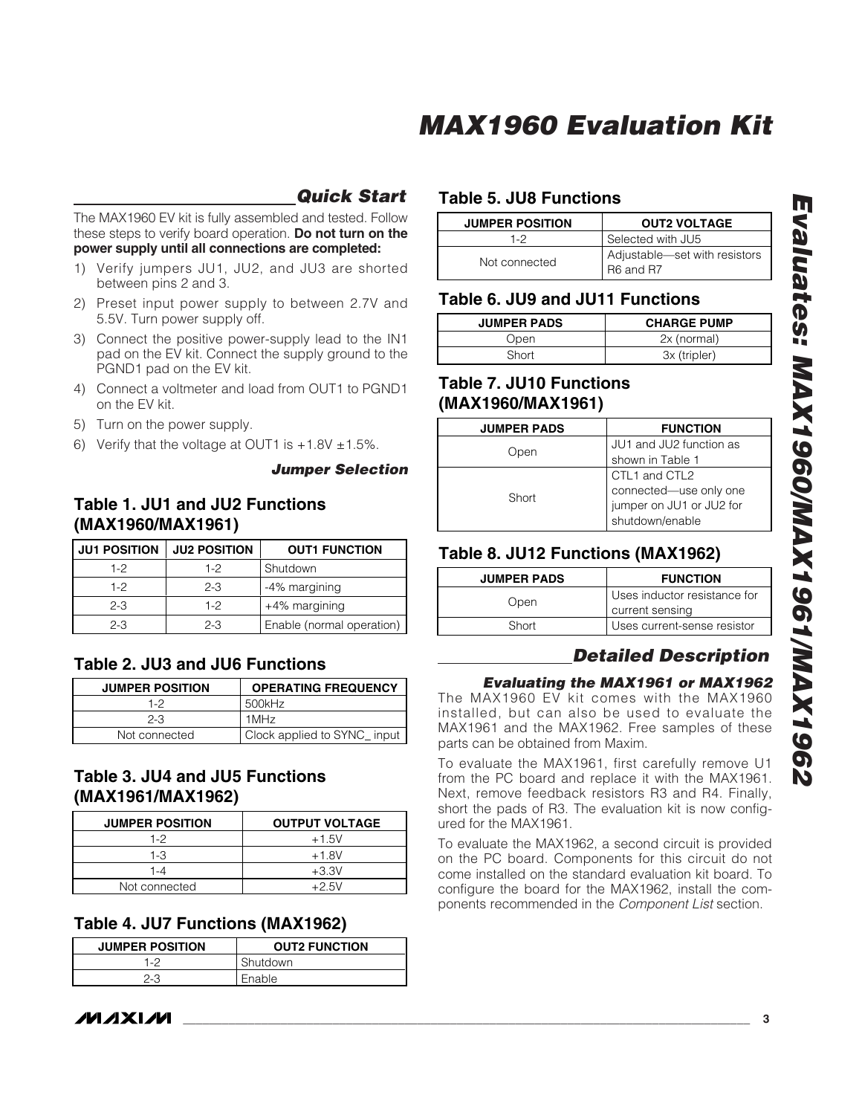## *Quick Start*

The MAX1960 EV kit is fully assembled and tested. Follow these steps to verify board operation. **Do not turn on the power supply until all connections are completed:**

- 1) Verify jumpers JU1, JU2, and JU3 are shorted between pins 2 and 3.
- 2) Preset input power supply to between 2.7V and 5.5V. Turn power supply off.
- 3) Connect the positive power-supply lead to the IN1 pad on the EV kit. Connect the supply ground to the PGND1 pad on the EV kit.
- 4) Connect a voltmeter and load from OUT1 to PGND1 on the EV kit.
- 5) Turn on the power supply.
- 6) Verify that the voltage at OUT1 is  $+1.8V \pm 1.5\%$ .

#### *Jumper Selection*

### **Table 1. JU1 and JU2 Functions (MAX1960/MAX1961)**

| <b>JU1 POSITION</b> | <b>JU2 POSITION</b> | <b>OUT1 FUNCTION</b>      |
|---------------------|---------------------|---------------------------|
| $1-2$               | 1-2                 | Shutdown                  |
| $1-2$               | $2 - 3$             | -4% margining             |
| $2 - 3$             | $1-2$               | +4% margining             |
| $2 - 3$             | $2 - 3$             | Enable (normal operation) |

## **Table 2. JU3 and JU6 Functions**

| <b>JUMPER POSITION</b> | <b>OPERATING FREQUENCY</b>  |
|------------------------|-----------------------------|
| 1-2                    | 500kHz                      |
| $2 - 3$                | 1MHz                        |
| Not connected          | Clock applied to SYNC_input |

## **Table 3. JU4 and JU5 Functions (MAX1961/MAX1962)**

| <b>JUMPER POSITION</b> | <b>OUTPUT VOLTAGE</b> |
|------------------------|-----------------------|
| 1-2                    | $+1.5V$               |
| 1-3                    | $+1.8V$               |
| 1-4                    | $+3.3V$               |
| Not connected          | +2.5V                 |

## **Table 4. JU7 Functions (MAX1962)**

| <b>JUMPER POSITION</b> | <b>OUT2 FUNCTION</b> |
|------------------------|----------------------|
| 1-2                    | Shutdown             |
| 2-3                    | Enable               |

# **Table 5. JU8 Functions**

| <b>JUMPER POSITION</b> | <b>OUT2 VOLTAGE</b>                        |
|------------------------|--------------------------------------------|
| $1-2$                  | Selected with JU5                          |
| Not connected          | Adjustable-set with resistors<br>R6 and R7 |

### **Table 6. JU9 and JU11 Functions**

| <b>JUMPER PADS</b> | <b>CHARGE PUMP</b> |
|--------------------|--------------------|
| Dpen               | 2x (normal)        |
| Short              | 3x (tripler)       |

### **Table 7. JU10 Functions (MAX1960/MAX1961)**

| <b>JUMPER PADS</b> | <b>FUNCTION</b>                                    |
|--------------------|----------------------------------------------------|
| Open               | JU1 and JU2 function as                            |
|                    | shown in Table 1                                   |
|                    | CTL1 and CTL2                                      |
| Short              | connected—use only one<br>jumper on JU1 or JU2 for |
|                    |                                                    |
|                    | shutdown/enable                                    |
|                    |                                                    |

### **Table 8. JU12 Functions (MAX1962)**

| <b>JUMPER PADS</b> | <b>FUNCTION</b>              |  |
|--------------------|------------------------------|--|
| Open               | Uses inductor resistance for |  |
|                    | current sensing              |  |
| Short              | Uses current-sense resistor  |  |

## *Detailed Description*

### *Evaluating the MAX1961 or MAX1962*

The MAX1960 EV kit comes with the MAX1960 installed, but can also be used to evaluate the MAX1961 and the MAX1962. Free samples of these parts can be obtained from Maxim.

To evaluate the MAX1961, first carefully remove U1 from the PC board and replace it with the MAX1961. Next, remove feedback resistors R3 and R4. Finally, short the pads of R3. The evaluation kit is now configured for the MAX1961.

To evaluate the MAX1962, a second circuit is provided on the PC board. Components for this circuit do not come installed on the standard evaluation kit board. To configure the board for the MAX1962, install the components recommended in the *Component List* section.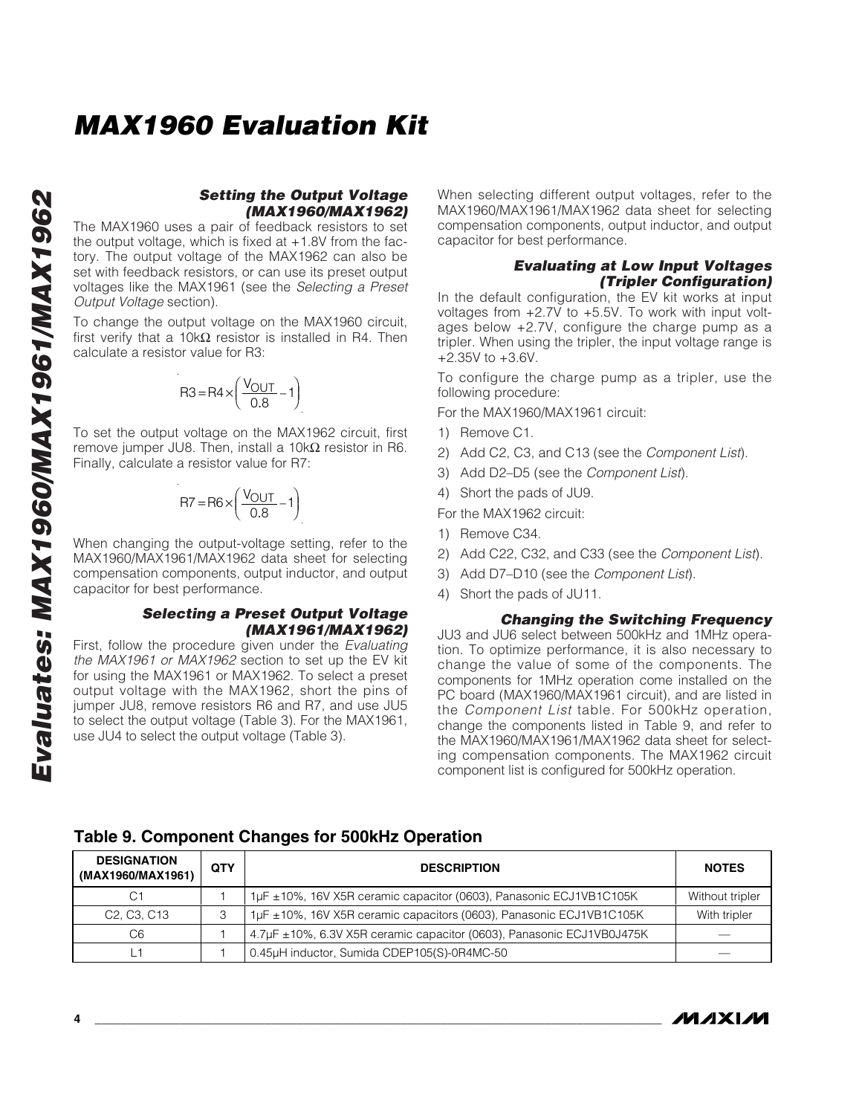#### *Setting the Output Voltage (MAX1960/MAX1962)*

The MAX1960 uses a pair of feedback resistors to set the output voltage, which is fixed at  $+1.8V$  from the factory. The output voltage of the MAX1962 can also be set with feedback resistors, or can use its preset output voltages like the MAX1961 (see the *Selecting a Preset Output Voltage* section).

To change the output voltage on the MAX1960 circuit, first verify that a 10k $\Omega$  resistor is installed in R4. Then calculate a resistor value for R3:

$$
R3 = R4 \times \left(\frac{V_{OUT}}{0.8} - 1\right)
$$

To set the output voltage on the MAX1962 circuit, first remove jumper JU8. Then, install a  $10kΩ$  resistor in R6. Finally, calculate a resistor value for R7:

$$
R7 = R6 \times \left(\frac{V_{OUT}}{0.8} - 1\right)
$$

When changing the output-voltage setting, refer to the MAX1960/MAX1961/MAX1962 data sheet for selecting compensation components, output inductor, and output capacitor for best performance.

#### *Selecting a Preset Output Voltage (MAX1961/MAX1962)*

First, follow the procedure given under the *Evaluating the MAX1961 or MAX1962* section to set up the EV kit for using the MAX1961 or MAX1962. To select a preset output voltage with the MAX1962, short the pins of jumper JU8, remove resistors R6 and R7, and use JU5 to select the output voltage (Table 3). For the MAX1961, use JU4 to select the output voltage (Table 3).

When selecting different output voltages, refer to the MAX1960/MAX1961/MAX1962 data sheet for selecting compensation components, output inductor, and output capacitor for best performance.

#### *Evaluating at Low Input Voltages (Tripler Configuration)*

In the default configuration, the EV kit works at input voltages from +2.7V to +5.5V. To work with input voltages below +2.7V, configure the charge pump as a tripler. When using the tripler, the input voltage range is +2.35V to +3.6V.

To configure the charge pump as a tripler, use the following procedure:

For the MAX1960/MAX1961 circuit:

- 1) Remove C1.
- 2) Add C2, C3, and C13 (see the *Component List*).
- 3) Add D2–D5 (see the *Component List*).
- 4) Short the pads of JU9.

For the MAX1962 circuit:

- 1) Remove C34.
- 2) Add C22, C32, and C33 (see the *Component List*).
- 3) Add D7–D10 (see the *Component List*).
- 4) Short the pads of JU11.

#### *Changing the Switching Frequency*

JU3 and JU6 select between 500kHz and 1MHz operation. To optimize performance, it is also necessary to change the value of some of the components. The components for 1MHz operation come installed on the PC board (MAX1960/MAX1961 circuit), and are listed in the *Component List* table. For 500kHz operation, change the components listed in Table 9, and refer to the MAX1960/MAX1961/MAX1962 data sheet for selecting compensation components. The MAX1962 circuit component list is configured for 500kHz operation.

| <b>DESIGNATION</b><br>(MAX1960/MAX1961)           | <b>QTY</b> | <b>DESCRIPTION</b>                                                    | <b>NOTES</b>    |
|---------------------------------------------------|------------|-----------------------------------------------------------------------|-----------------|
|                                                   |            | 1µF ±10%, 16V X5R ceramic capacitor (0603), Panasonic ECJ1VB1C105K    | Without tripler |
| C <sub>2</sub> , C <sub>3</sub> , C <sub>13</sub> |            | 1µF ±10%, 16V X5R ceramic capacitors (0603), Panasonic ECJ1VB1C105K   | With tripler    |
| C6                                                |            | 4.7µF ±10%, 6.3V X5R ceramic capacitor (0603), Panasonic ECJ1VB0J475K |                 |
|                                                   |            | 0.45µH inductor, Sumida CDEP105(S)-0R4MC-50                           |                 |

#### **Table 9. Component Changes for 500kHz Operation**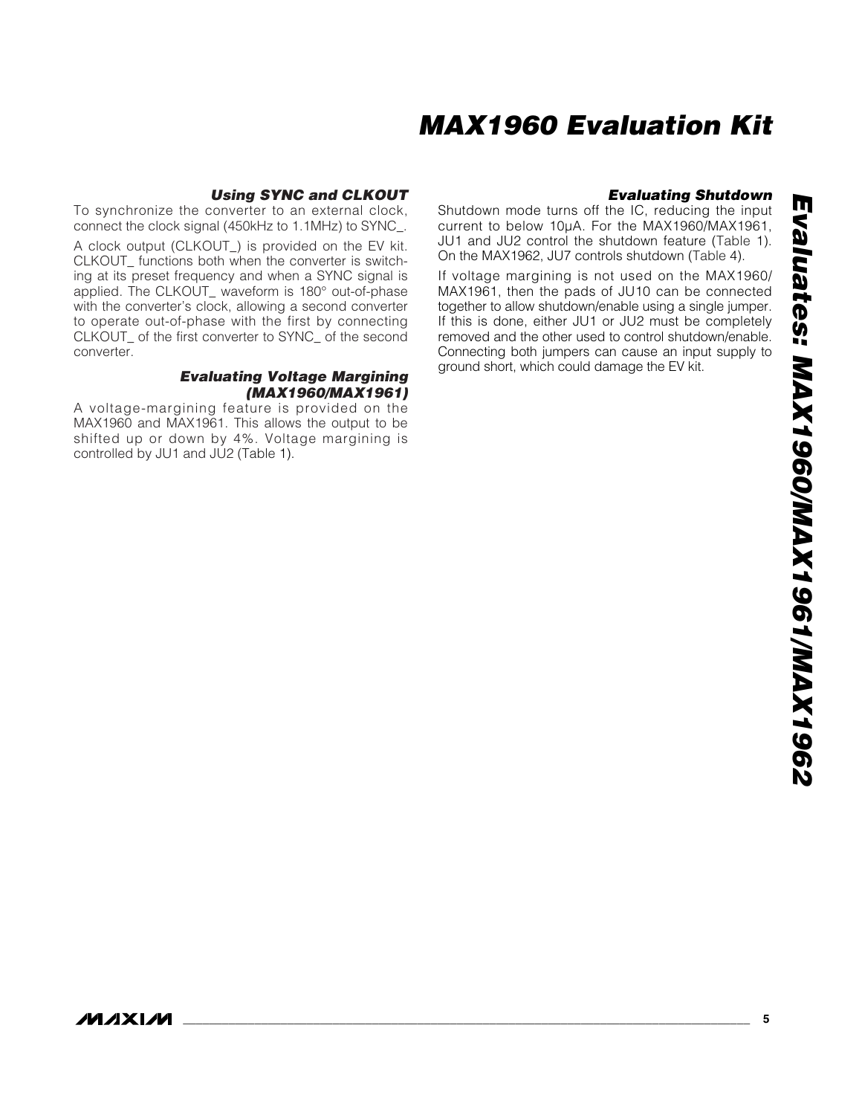#### *Using SYNC and CLKOUT*

To synchronize the converter to an external clock, connect the clock signal (450kHz to 1.1MHz) to SYNC\_.

A clock output (CLKOUT\_) is provided on the EV kit. CLKOUT\_ functions both when the converter is switching at its preset frequency and when a SYNC signal is applied. The CLKOUT\_ waveform is 180° out-of-phase with the converter's clock, allowing a second converter to operate out-of-phase with the first by connecting CLKOUT\_ of the first converter to SYNC\_ of the second converter.

#### *Evaluating Voltage Margining (MAX1960/MAX1961)*

A voltage-margining feature is provided on the MAX1960 and MAX1961. This allows the output to be shifted up or down by 4%. Voltage margining is controlled by JU1 and JU2 (Table 1).

### *Evaluating Shutdown*

Shutdown mode turns off the IC, reducing the input current to below 10µA. For the MAX1960/MAX1961, JU1 and JU2 control the shutdown feature (Table 1). On the MAX1962, JU7 controls shutdown (Table 4).

If voltage margining is not used on the MAX1960/ MAX1961, then the pads of JU10 can be connected together to allow shutdown/enable using a single jumper. If this is done, either JU1 or JU2 must be completely removed and the other used to control shutdown/enable. Connecting both jumpers can cause an input supply to ground short, which could damage the EV kit.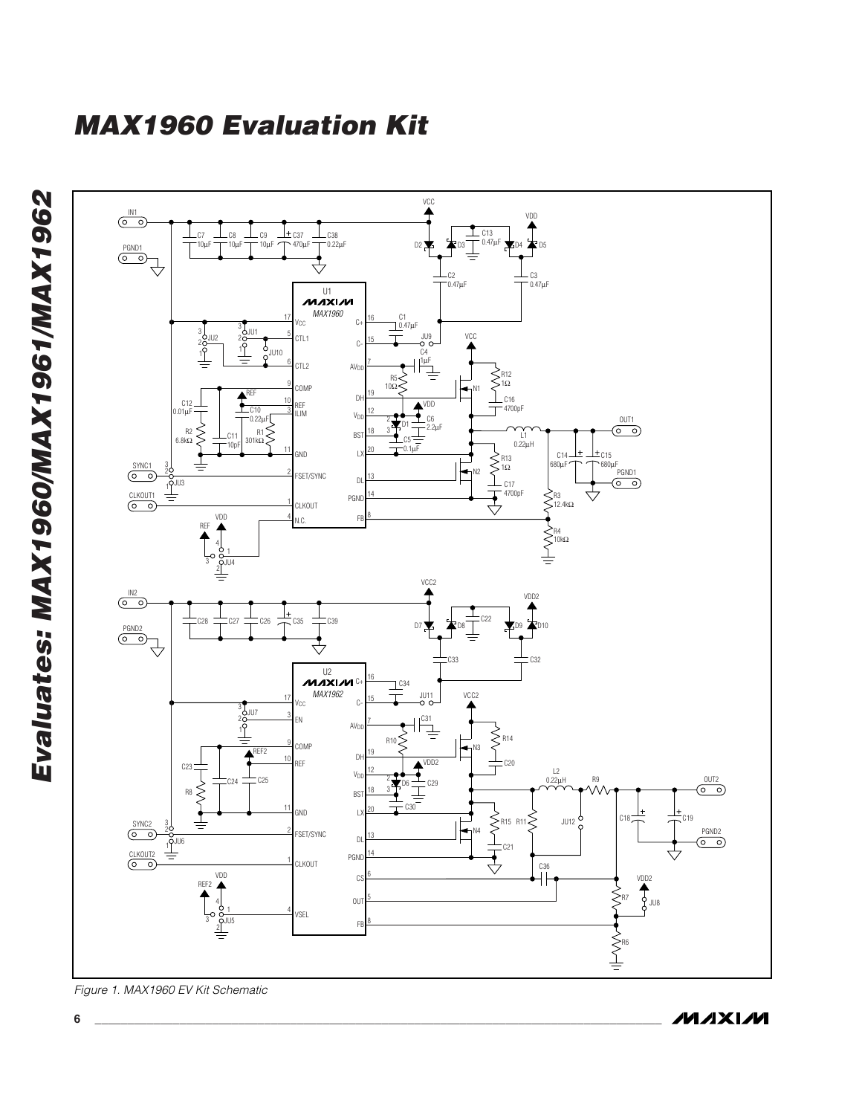

**6 \_\_\_\_\_\_\_\_\_\_\_\_\_\_\_\_\_\_\_\_\_\_\_\_\_\_\_\_\_\_\_\_\_\_\_\_\_\_\_\_\_\_\_\_\_\_\_\_\_\_\_\_\_\_\_\_\_\_\_\_\_\_\_\_\_\_\_\_\_\_\_\_\_\_\_\_\_\_\_\_\_\_\_\_\_\_\_**

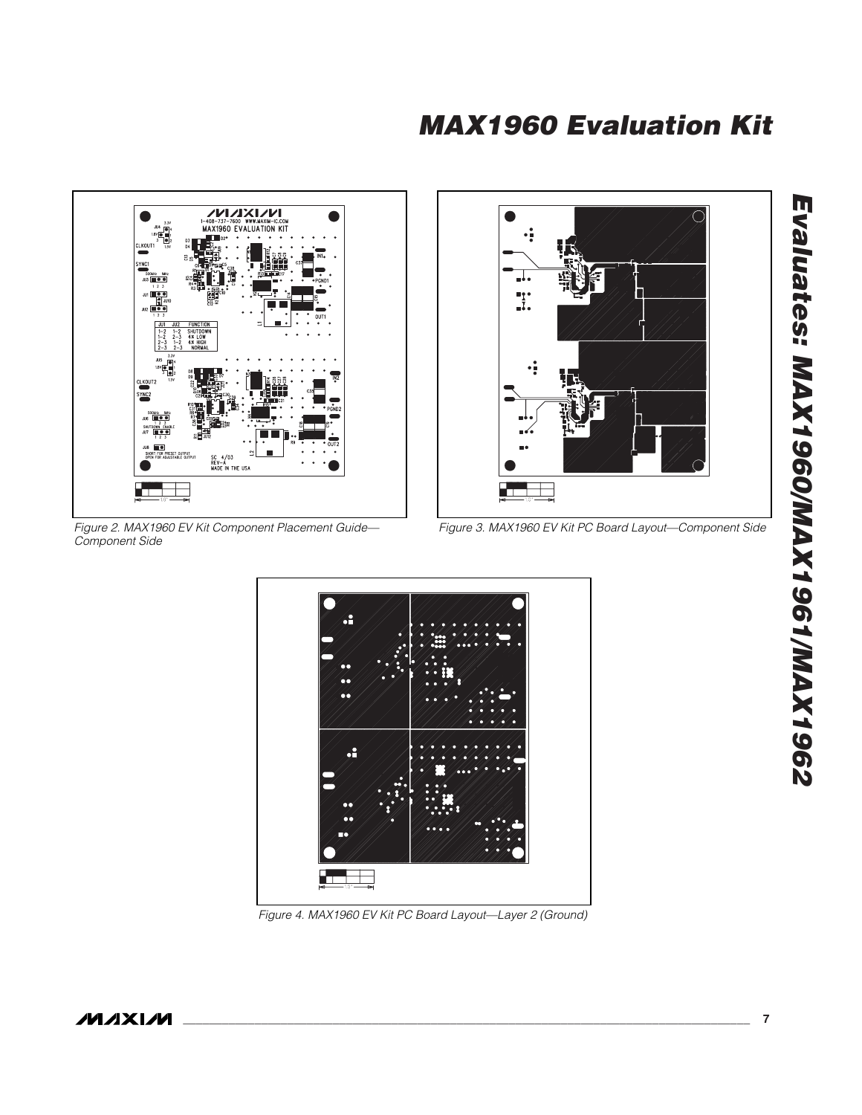

*Figure 2. MAX1960 EV Kit Component Placement Guide— Component Side*



*Figure 3. MAX1960 EV Kit PC Board Layout—Component Side*



*Figure 4. MAX1960 EV Kit PC Board Layout—Layer 2 (Ground)*